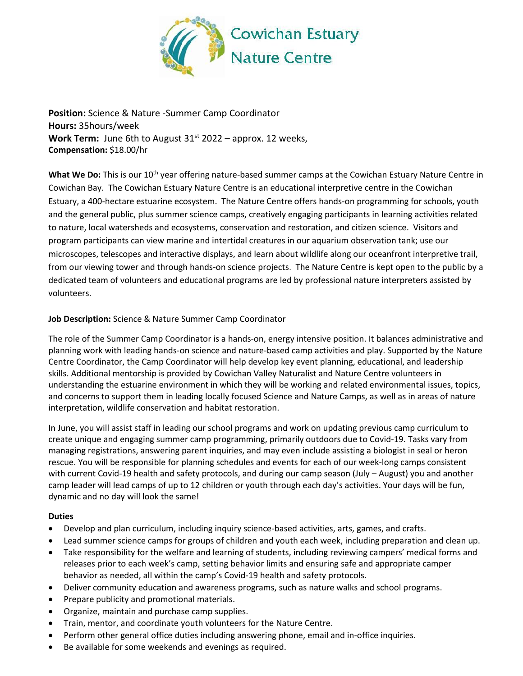

**Position:** Science & Nature -Summer Camp Coordinator **Hours:** 35hours/week **Work Term:** June 6th to August 31<sup>st</sup> 2022 – approx. 12 weeks, **Compensation:** \$18.00/hr

What We Do: This is our 10<sup>th</sup> year offering nature-based summer camps at the Cowichan Estuary Nature Centre in Cowichan Bay. The Cowichan Estuary Nature Centre is an educational interpretive centre in the Cowichan Estuary, a 400-hectare estuarine ecosystem. The Nature Centre offers hands-on programming for schools, youth and the general public, plus summer science camps, creatively engaging participants in learning activities related to nature, local watersheds and ecosystems, conservation and restoration, and citizen science. Visitors and program participants can view marine and intertidal creatures in our aquarium observation tank; use our microscopes, telescopes and interactive displays, and learn about wildlife along our oceanfront interpretive trail, from our viewing tower and through hands-on science projects. The Nature Centre is kept open to the public by a dedicated team of volunteers and educational programs are led by professional nature interpreters assisted by volunteers.

## **Job Description:** Science & Nature Summer Camp Coordinator

The role of the Summer Camp Coordinator is a hands-on, energy intensive position. It balances administrative and planning work with leading hands-on science and nature-based camp activities and play. Supported by the Nature Centre Coordinator, the Camp Coordinator will help develop key event planning, educational, and leadership skills. Additional mentorship is provided by Cowichan Valley Naturalist and Nature Centre volunteers in understanding the estuarine environment in which they will be working and related environmental issues, topics, and concerns to support them in leading locally focused Science and Nature Camps, as well as in areas of nature interpretation, wildlife conservation and habitat restoration.

In June, you will assist staff in leading our school programs and work on updating previous camp curriculum to create unique and engaging summer camp programming, primarily outdoors due to Covid-19. Tasks vary from managing registrations, answering parent inquiries, and may even include assisting a biologist in seal or heron rescue. You will be responsible for planning schedules and events for each of our week-long camps consistent with current Covid-19 health and safety protocols, and during our camp season (July – August) you and another camp leader will lead camps of up to 12 children or youth through each day's activities. Your days will be fun, dynamic and no day will look the same!

## **Duties**

- Develop and plan curriculum, including inquiry science-based activities, arts, games, and crafts.
- Lead summer science camps for groups of children and youth each week, including preparation and clean up.
- Take responsibility for the welfare and learning of students, including reviewing campers' medical forms and releases prior to each week's camp, setting behavior limits and ensuring safe and appropriate camper behavior as needed, all within the camp's Covid-19 health and safety protocols.
- Deliver community education and awareness programs, such as nature walks and school programs.
- Prepare publicity and promotional materials.
- Organize, maintain and purchase camp supplies.
- Train, mentor, and coordinate youth volunteers for the Nature Centre.
- Perform other general office duties including answering phone, email and in-office inquiries.
- Be available for some weekends and evenings as required.